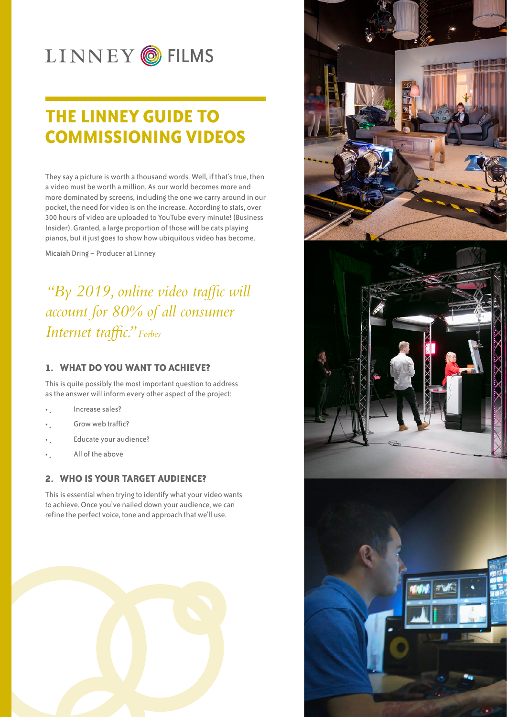# LINNEY OFILMS

## **THE LINNEY GUIDE TO COMMISSIONING VIDEOS**

They say a picture is worth a thousand words. Well, if that's true, then a video must be worth a million. As our world becomes more and more dominated by screens, including the one we carry around in our pocket, the need for video is on the increase. According to stats, over 300 hours of video are uploaded to YouTube every minute! (Business Insider). Granted, a large proportion of those will be cats playing pianos, but it just goes to show how ubiquitous video has become.

Micaiah Dring – Producer at Linney

*"By 2019, online video traffic will account for 80% of all consumer Internet traffic." Forbes*

#### **1. WHAT DO YOU WANT TO ACHIEVE?**

This is quite possibly the most important question to address as the answer will inform every other aspect of the project:

- Increase sales?
- Grow web traffic?
- Educate your audience?
- • All of the above

#### **2. WHO IS YOUR TARGET AUDIENCE?**

This is essential when trying to identify what your video wants to achieve. Once you've nailed down your audience, we can refine the perfect voice, tone and approach that we'll use.